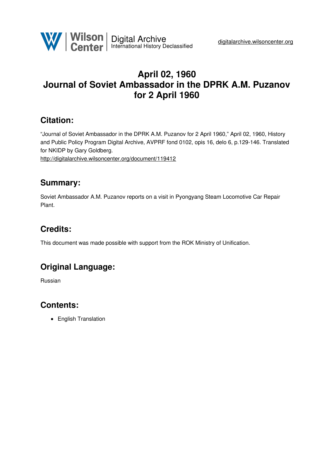

# **April 02, 1960 Journal of Soviet Ambassador in the DPRK A.M. Puzanov for 2 April 1960**

### **Citation:**

"Journal of Soviet Ambassador in the DPRK A.M. Puzanov for 2 April 1960," April 02, 1960, History and Public Policy Program Digital Archive, AVPRF fond 0102, opis 16, delo 6, p.129-146. Translated for NKIDP by Gary Goldberg.

<http://digitalarchive.wilsoncenter.org/document/119412>

### **Summary:**

Soviet Ambassador A.M. Puzanov reports on a visit in Pyongyang Steam Locomotive Car Repair Plant.

# **Credits:**

This document was made possible with support from the ROK Ministry of Unification.

### **Original Language:**

Russian

# **Contents:**

• English Translation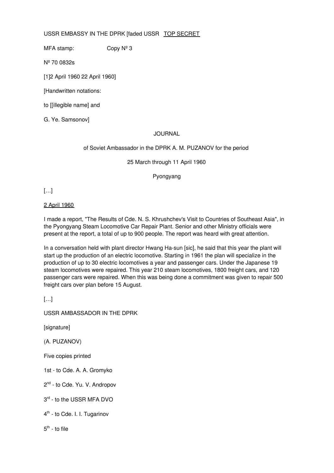USSR EMBASSY IN THE DPRK [faded USSR TOP SECRET

MFA stamp:  $\qquad \qquad$  Copy  $N^{\circ}$  3

Nº 70 0832s

[1]2 April 1960 22 April 1960]

[Handwritten notations:

to [[illegible name] and

G. Ye. Samsonov]

#### JOURNAL

#### of Soviet Ambassador in the DPRK A. M. PUZANOV for the period

25 March through 11 April 1960

Pyongyang

 $[...]$ 

#### 2 April 1960

I made a report, "The Results of Cde. N. S. Khrushchev's Visit to Countries of Southeast Asia", in the Pyongyang Steam Locomotive Car Repair Plant. Senior and other Ministry officials were present at the report, a total of up to 900 people. The report was heard with great attention.

In a conversation held with plant director Hwang Ha-sun [sic], he said that this year the plant will start up the production of an electric locomotive. Starting in 1961 the plan will specialize in the production of up to 30 electric locomotives a year and passenger cars. Under the Japanese 19 steam locomotives were repaired. This year 210 steam locomotives, 1800 freight cars, and 120 passenger cars were repaired. When this was being done a commitment was given to repair 500 freight cars over plan before 15 August.

[…]

USSR AMBASSADOR IN THE DPRK

[signature]

(A. PUZANOV)

Five copies printed

1st - to Cde. A. A. Gromyko

2<sup>nd</sup> - to Cde. Yu. V. Andropov

3<sup>rd</sup> - to the USSR MFA DVO

4<sup>th</sup> - to Cde. I. I. Tugarinov

 $5^{\text{th}}$  - to file